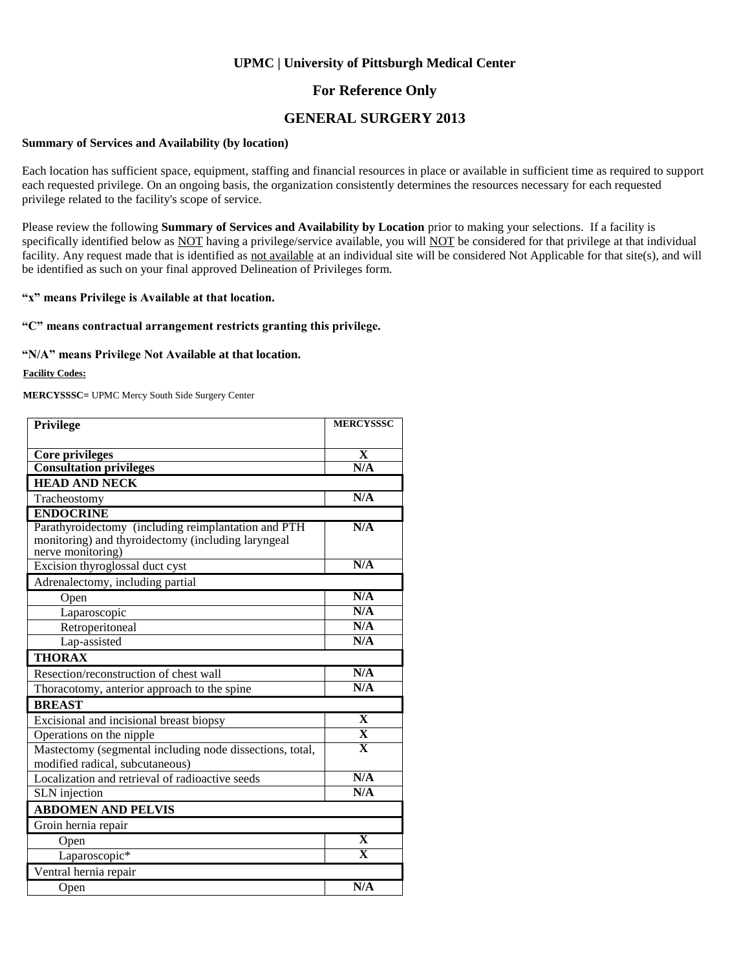### **For Reference Only**

### **GENERAL SURGERY 2013**

#### **Summary of Services and Availability (by location)**

Each location has sufficient space, equipment, staffing and financial resources in place or available in sufficient time as required to support each requested privilege. On an ongoing basis, the organization consistently determines the resources necessary for each requested privilege related to the facility's scope of service.

Please review the following **Summary of Services and Availability by Location** prior to making your selections. If a facility is specifically identified below as NOT having a privilege/service available, you will NOT be considered for that privilege at that individual facility. Any request made that is identified as not available at an individual site will be considered Not Applicable for that site(s), and will be identified as such on your final approved Delineation of Privileges form.

#### **"x" means Privilege is Available at that location.**

#### **"C" means contractual arrangement restricts granting this privilege.**

#### **"N/A" means Privilege Not Available at that location.**

#### **Facility Codes:**

**MERCYSSSC=** UPMC Mercy South Side Surgery Center

| <b>Privilege</b>                                                                                                               | <b>MERCYSSSC</b>        |
|--------------------------------------------------------------------------------------------------------------------------------|-------------------------|
|                                                                                                                                |                         |
| Core privileges                                                                                                                | X                       |
| <b>Consultation privileges</b>                                                                                                 | N/A                     |
| <b>HEAD AND NECK</b>                                                                                                           |                         |
| Tracheostomy                                                                                                                   | N/A                     |
| <b>ENDOCRINE</b>                                                                                                               |                         |
| Parathyroidectomy (including reimplantation and PTH<br>monitoring) and thyroidectomy (including laryngeal<br>nerve monitoring) | N/A                     |
| Excision thyroglossal duct cyst                                                                                                | N/A                     |
| Adrenalectomy, including partial                                                                                               |                         |
| Open                                                                                                                           | N/A                     |
| Laparoscopic                                                                                                                   | N/A                     |
| Retroperitoneal                                                                                                                | N/A                     |
| Lap-assisted                                                                                                                   | N/A                     |
| <b>THORAX</b>                                                                                                                  |                         |
| Resection/reconstruction of chest wall                                                                                         | N/A                     |
| Thoracotomy, anterior approach to the spine                                                                                    | N/A                     |
| <b>BREAST</b>                                                                                                                  |                         |
| Excisional and incisional breast biopsy                                                                                        | X                       |
| Operations on the nipple                                                                                                       | $\overline{\mathbf{X}}$ |
| Mastectomy (segmental including node dissections, total,<br>modified radical, subcutaneous)                                    | $\overline{\mathbf{x}}$ |
| Localization and retrieval of radioactive seeds                                                                                | N/A                     |
| <b>SLN</b> injection                                                                                                           | N/A                     |
| <b>ABDOMEN AND PELVIS</b>                                                                                                      |                         |
| Groin hernia repair                                                                                                            |                         |
| Open                                                                                                                           | $\overline{\mathbf{X}}$ |
| Laparoscopic*                                                                                                                  | $\overline{\mathbf{X}}$ |
| Ventral hernia repair                                                                                                          |                         |
| Open                                                                                                                           | N/A                     |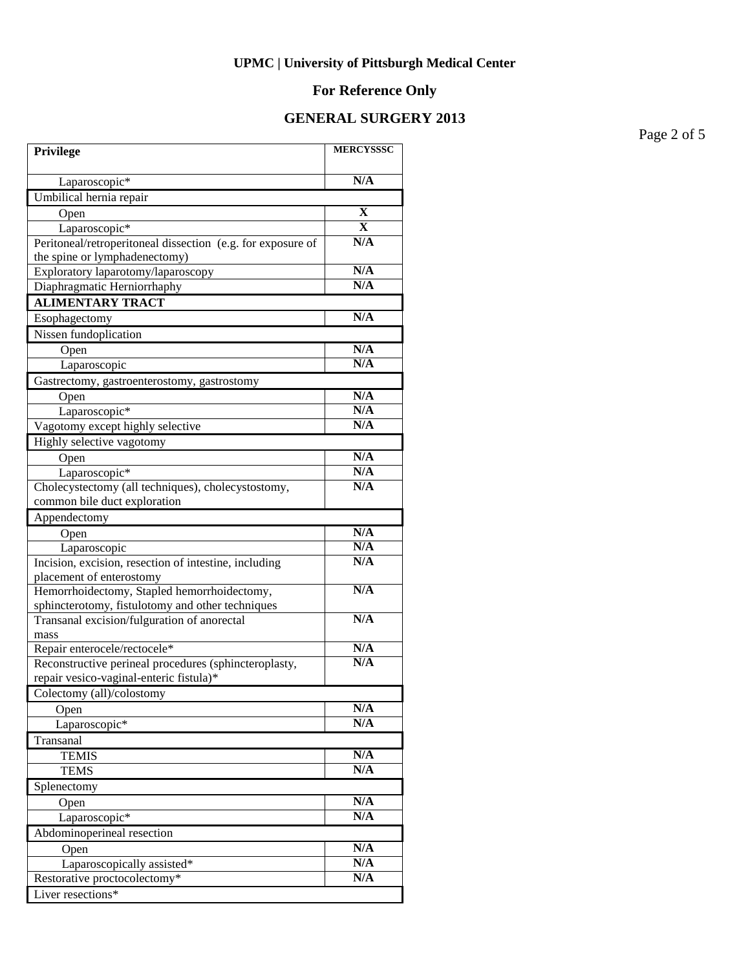# **For Reference Only**

## **GENERAL SURGERY 2013**

Page 2 of 5

| Privilege                                                               | <b>MERCYSSSC</b>        |
|-------------------------------------------------------------------------|-------------------------|
| Laparoscopic*                                                           | N/A                     |
| Umbilical hernia repair                                                 |                         |
| Open                                                                    | X                       |
| Laparoscopic*                                                           | $\overline{\mathbf{X}}$ |
| Peritoneal/retroperitoneal dissection (e.g. for exposure of             | N/A                     |
| the spine or lymphadenectomy)                                           |                         |
| Exploratory laparotomy/laparoscopy                                      | N/A                     |
| Diaphragmatic Herniorrhaphy                                             | N/A                     |
| <b>ALIMENTARY TRACT</b>                                                 |                         |
| Esophagectomy                                                           | N/A                     |
| Nissen fundoplication                                                   |                         |
| Open                                                                    | N/A                     |
| Laparoscopic                                                            | N/A                     |
| Gastrectomy, gastroenterostomy, gastrostomy                             |                         |
| Open                                                                    | N/A                     |
| Laparoscopic*                                                           | N/A                     |
| Vagotomy except highly selective                                        | N/A                     |
| Highly selective vagotomy                                               |                         |
| Open                                                                    | N/A                     |
| Laparoscopic*                                                           | N/A                     |
| Cholecystectomy (all techniques), cholecystostomy,                      | N/A                     |
| common bile duct exploration                                            |                         |
| Appendectomy                                                            |                         |
| Open                                                                    | N/A                     |
| Laparoscopic                                                            | N/A<br>N/A              |
| Incision, excision, resection of intestine, including                   |                         |
| placement of enterostomy<br>Hemorrhoidectomy, Stapled hemorrhoidectomy, | N/A                     |
| sphincterotomy, fistulotomy and other techniques                        |                         |
| Transanal excision/fulguration of anorectal                             | N/A                     |
| mass                                                                    |                         |
| Repair enterocele/rectocele*                                            | N/A                     |
| Reconstructive perineal procedures (sphincteroplasty,                   | N/A                     |
| repair vesico-vaginal-enteric fistula)*                                 |                         |
| Colectomy (all)/colostomy                                               |                         |
| Open                                                                    | N/A                     |
| Laparoscopic*                                                           | N/A                     |
| Transanal                                                               |                         |
| <b>TEMIS</b>                                                            | N/A                     |
| <b>TEMS</b>                                                             | N/A                     |
| Splenectomy                                                             |                         |
| Open                                                                    | N/A                     |
| Laparoscopic*                                                           | N/A                     |
| Abdominoperineal resection                                              |                         |
| Open                                                                    | N/A                     |
| Laparoscopically assisted*                                              | N/A                     |
| Restorative proctocolectomy*                                            | N/A                     |
| Liver resections*                                                       |                         |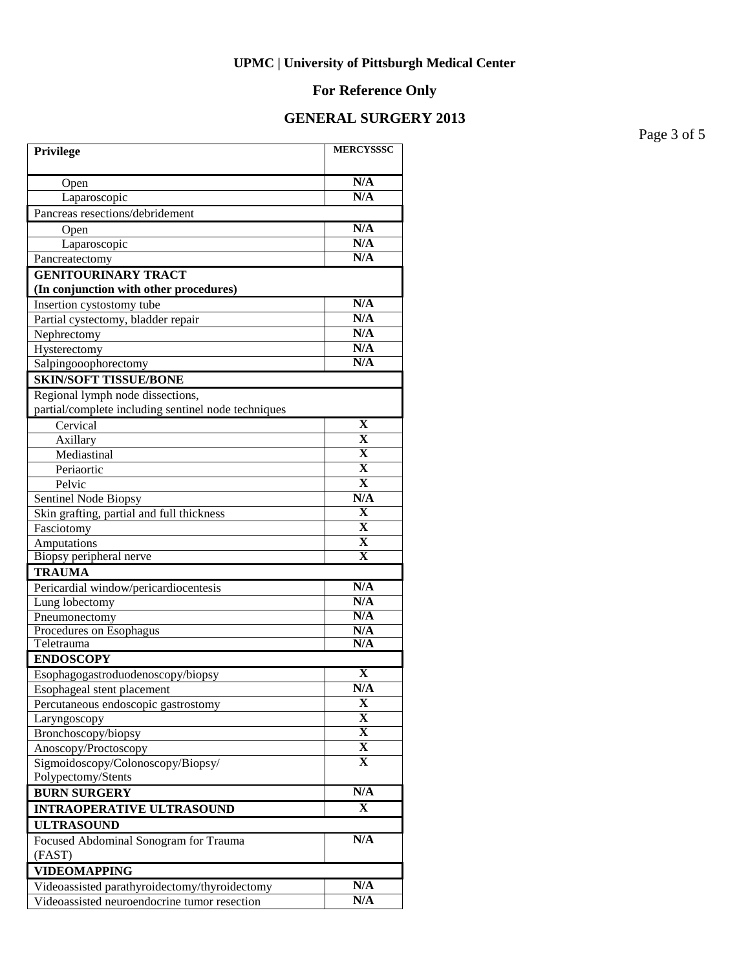# **For Reference Only**

## **GENERAL SURGERY 2013**

Page 3 of 5

| N/A<br>Open<br>N/A<br>Laparoscopic<br>Pancreas resections/debridement<br>N/A<br>Open<br>N/A<br>Laparoscopic<br>N/A<br>Pancreatectomy<br><b>GENITOURINARY TRACT</b><br>(In conjunction with other procedures)<br>N/A<br>Insertion cystostomy tube<br>N/A<br>Partial cystectomy, bladder repair<br>N/A<br>Nephrectomy<br>N/A<br>Hysterectomy<br>N/A<br>Salpingooophorectomy<br><b>SKIN/SOFT TISSUE/BONE</b><br>Regional lymph node dissections,<br>partial/complete including sentinel node techniques<br>Cervical<br>X<br>$\mathbf X$<br>Axillary<br>$\overline{\mathbf{X}}$<br>Mediastinal<br>$\overline{\mathbf{X}}$<br>Periaortic<br>$\overline{\mathbf{X}}$<br>Pelvic<br>N/A<br>Sentinel Node Biopsy<br>$\mathbf X$<br>Skin grafting, partial and full thickness<br>$\overline{\mathbf{X}}$<br>Fasciotomy<br>$\overline{\mathbf{X}}$<br>Amputations<br>$\overline{\mathbf{X}}$<br>Biopsy peripheral nerve<br><b>TRAUMA</b><br>N/A<br>Pericardial window/pericardiocentesis<br>N/A<br>Lung lobectomy<br>N/A<br>Pneumonectomy<br>Procedures on Esophagus<br>N/A<br>N/A<br>Teletrauma<br><b>ENDOSCOPY</b><br>X<br>Esophagogastroduodenoscopy/biopsy<br>N/A<br>Esophageal stent placement<br>X<br>Percutaneous endoscopic gastrostomy<br>X<br>Laryngoscopy<br>$\overline{\mathbf{X}}$<br>Bronchoscopy/biopsy<br>X<br>Anoscopy/Proctoscopy<br>$\mathbf{X}$<br>Sigmoidoscopy/Colonoscopy/Biopsy/<br>Polypectomy/Stents<br>N/A<br><b>BURN SURGERY</b><br>X<br><b>INTRAOPERATIVE ULTRASOUND</b><br><b>ULTRASOUND</b><br>N/A<br>Focused Abdominal Sonogram for Trauma<br>(FAST) | Privilege | <b>MERCYSSSC</b> |  |
|---------------------------------------------------------------------------------------------------------------------------------------------------------------------------------------------------------------------------------------------------------------------------------------------------------------------------------------------------------------------------------------------------------------------------------------------------------------------------------------------------------------------------------------------------------------------------------------------------------------------------------------------------------------------------------------------------------------------------------------------------------------------------------------------------------------------------------------------------------------------------------------------------------------------------------------------------------------------------------------------------------------------------------------------------------------------------------------------------------------------------------------------------------------------------------------------------------------------------------------------------------------------------------------------------------------------------------------------------------------------------------------------------------------------------------------------------------------------------------------------------------------------------------------------------------------------------|-----------|------------------|--|
|                                                                                                                                                                                                                                                                                                                                                                                                                                                                                                                                                                                                                                                                                                                                                                                                                                                                                                                                                                                                                                                                                                                                                                                                                                                                                                                                                                                                                                                                                                                                                                           |           |                  |  |
|                                                                                                                                                                                                                                                                                                                                                                                                                                                                                                                                                                                                                                                                                                                                                                                                                                                                                                                                                                                                                                                                                                                                                                                                                                                                                                                                                                                                                                                                                                                                                                           |           |                  |  |
|                                                                                                                                                                                                                                                                                                                                                                                                                                                                                                                                                                                                                                                                                                                                                                                                                                                                                                                                                                                                                                                                                                                                                                                                                                                                                                                                                                                                                                                                                                                                                                           |           |                  |  |
|                                                                                                                                                                                                                                                                                                                                                                                                                                                                                                                                                                                                                                                                                                                                                                                                                                                                                                                                                                                                                                                                                                                                                                                                                                                                                                                                                                                                                                                                                                                                                                           |           |                  |  |
|                                                                                                                                                                                                                                                                                                                                                                                                                                                                                                                                                                                                                                                                                                                                                                                                                                                                                                                                                                                                                                                                                                                                                                                                                                                                                                                                                                                                                                                                                                                                                                           |           |                  |  |
|                                                                                                                                                                                                                                                                                                                                                                                                                                                                                                                                                                                                                                                                                                                                                                                                                                                                                                                                                                                                                                                                                                                                                                                                                                                                                                                                                                                                                                                                                                                                                                           |           |                  |  |
|                                                                                                                                                                                                                                                                                                                                                                                                                                                                                                                                                                                                                                                                                                                                                                                                                                                                                                                                                                                                                                                                                                                                                                                                                                                                                                                                                                                                                                                                                                                                                                           |           |                  |  |
|                                                                                                                                                                                                                                                                                                                                                                                                                                                                                                                                                                                                                                                                                                                                                                                                                                                                                                                                                                                                                                                                                                                                                                                                                                                                                                                                                                                                                                                                                                                                                                           |           |                  |  |
|                                                                                                                                                                                                                                                                                                                                                                                                                                                                                                                                                                                                                                                                                                                                                                                                                                                                                                                                                                                                                                                                                                                                                                                                                                                                                                                                                                                                                                                                                                                                                                           |           |                  |  |
|                                                                                                                                                                                                                                                                                                                                                                                                                                                                                                                                                                                                                                                                                                                                                                                                                                                                                                                                                                                                                                                                                                                                                                                                                                                                                                                                                                                                                                                                                                                                                                           |           |                  |  |
|                                                                                                                                                                                                                                                                                                                                                                                                                                                                                                                                                                                                                                                                                                                                                                                                                                                                                                                                                                                                                                                                                                                                                                                                                                                                                                                                                                                                                                                                                                                                                                           |           |                  |  |
|                                                                                                                                                                                                                                                                                                                                                                                                                                                                                                                                                                                                                                                                                                                                                                                                                                                                                                                                                                                                                                                                                                                                                                                                                                                                                                                                                                                                                                                                                                                                                                           |           |                  |  |
|                                                                                                                                                                                                                                                                                                                                                                                                                                                                                                                                                                                                                                                                                                                                                                                                                                                                                                                                                                                                                                                                                                                                                                                                                                                                                                                                                                                                                                                                                                                                                                           |           |                  |  |
|                                                                                                                                                                                                                                                                                                                                                                                                                                                                                                                                                                                                                                                                                                                                                                                                                                                                                                                                                                                                                                                                                                                                                                                                                                                                                                                                                                                                                                                                                                                                                                           |           |                  |  |
|                                                                                                                                                                                                                                                                                                                                                                                                                                                                                                                                                                                                                                                                                                                                                                                                                                                                                                                                                                                                                                                                                                                                                                                                                                                                                                                                                                                                                                                                                                                                                                           |           |                  |  |
|                                                                                                                                                                                                                                                                                                                                                                                                                                                                                                                                                                                                                                                                                                                                                                                                                                                                                                                                                                                                                                                                                                                                                                                                                                                                                                                                                                                                                                                                                                                                                                           |           |                  |  |
|                                                                                                                                                                                                                                                                                                                                                                                                                                                                                                                                                                                                                                                                                                                                                                                                                                                                                                                                                                                                                                                                                                                                                                                                                                                                                                                                                                                                                                                                                                                                                                           |           |                  |  |
|                                                                                                                                                                                                                                                                                                                                                                                                                                                                                                                                                                                                                                                                                                                                                                                                                                                                                                                                                                                                                                                                                                                                                                                                                                                                                                                                                                                                                                                                                                                                                                           |           |                  |  |
|                                                                                                                                                                                                                                                                                                                                                                                                                                                                                                                                                                                                                                                                                                                                                                                                                                                                                                                                                                                                                                                                                                                                                                                                                                                                                                                                                                                                                                                                                                                                                                           |           |                  |  |
|                                                                                                                                                                                                                                                                                                                                                                                                                                                                                                                                                                                                                                                                                                                                                                                                                                                                                                                                                                                                                                                                                                                                                                                                                                                                                                                                                                                                                                                                                                                                                                           |           |                  |  |
|                                                                                                                                                                                                                                                                                                                                                                                                                                                                                                                                                                                                                                                                                                                                                                                                                                                                                                                                                                                                                                                                                                                                                                                                                                                                                                                                                                                                                                                                                                                                                                           |           |                  |  |
|                                                                                                                                                                                                                                                                                                                                                                                                                                                                                                                                                                                                                                                                                                                                                                                                                                                                                                                                                                                                                                                                                                                                                                                                                                                                                                                                                                                                                                                                                                                                                                           |           |                  |  |
|                                                                                                                                                                                                                                                                                                                                                                                                                                                                                                                                                                                                                                                                                                                                                                                                                                                                                                                                                                                                                                                                                                                                                                                                                                                                                                                                                                                                                                                                                                                                                                           |           |                  |  |
|                                                                                                                                                                                                                                                                                                                                                                                                                                                                                                                                                                                                                                                                                                                                                                                                                                                                                                                                                                                                                                                                                                                                                                                                                                                                                                                                                                                                                                                                                                                                                                           |           |                  |  |
|                                                                                                                                                                                                                                                                                                                                                                                                                                                                                                                                                                                                                                                                                                                                                                                                                                                                                                                                                                                                                                                                                                                                                                                                                                                                                                                                                                                                                                                                                                                                                                           |           |                  |  |
|                                                                                                                                                                                                                                                                                                                                                                                                                                                                                                                                                                                                                                                                                                                                                                                                                                                                                                                                                                                                                                                                                                                                                                                                                                                                                                                                                                                                                                                                                                                                                                           |           |                  |  |
|                                                                                                                                                                                                                                                                                                                                                                                                                                                                                                                                                                                                                                                                                                                                                                                                                                                                                                                                                                                                                                                                                                                                                                                                                                                                                                                                                                                                                                                                                                                                                                           |           |                  |  |
|                                                                                                                                                                                                                                                                                                                                                                                                                                                                                                                                                                                                                                                                                                                                                                                                                                                                                                                                                                                                                                                                                                                                                                                                                                                                                                                                                                                                                                                                                                                                                                           |           |                  |  |
|                                                                                                                                                                                                                                                                                                                                                                                                                                                                                                                                                                                                                                                                                                                                                                                                                                                                                                                                                                                                                                                                                                                                                                                                                                                                                                                                                                                                                                                                                                                                                                           |           |                  |  |
|                                                                                                                                                                                                                                                                                                                                                                                                                                                                                                                                                                                                                                                                                                                                                                                                                                                                                                                                                                                                                                                                                                                                                                                                                                                                                                                                                                                                                                                                                                                                                                           |           |                  |  |
|                                                                                                                                                                                                                                                                                                                                                                                                                                                                                                                                                                                                                                                                                                                                                                                                                                                                                                                                                                                                                                                                                                                                                                                                                                                                                                                                                                                                                                                                                                                                                                           |           |                  |  |
|                                                                                                                                                                                                                                                                                                                                                                                                                                                                                                                                                                                                                                                                                                                                                                                                                                                                                                                                                                                                                                                                                                                                                                                                                                                                                                                                                                                                                                                                                                                                                                           |           |                  |  |
|                                                                                                                                                                                                                                                                                                                                                                                                                                                                                                                                                                                                                                                                                                                                                                                                                                                                                                                                                                                                                                                                                                                                                                                                                                                                                                                                                                                                                                                                                                                                                                           |           |                  |  |
|                                                                                                                                                                                                                                                                                                                                                                                                                                                                                                                                                                                                                                                                                                                                                                                                                                                                                                                                                                                                                                                                                                                                                                                                                                                                                                                                                                                                                                                                                                                                                                           |           |                  |  |
|                                                                                                                                                                                                                                                                                                                                                                                                                                                                                                                                                                                                                                                                                                                                                                                                                                                                                                                                                                                                                                                                                                                                                                                                                                                                                                                                                                                                                                                                                                                                                                           |           |                  |  |
|                                                                                                                                                                                                                                                                                                                                                                                                                                                                                                                                                                                                                                                                                                                                                                                                                                                                                                                                                                                                                                                                                                                                                                                                                                                                                                                                                                                                                                                                                                                                                                           |           |                  |  |
|                                                                                                                                                                                                                                                                                                                                                                                                                                                                                                                                                                                                                                                                                                                                                                                                                                                                                                                                                                                                                                                                                                                                                                                                                                                                                                                                                                                                                                                                                                                                                                           |           |                  |  |
|                                                                                                                                                                                                                                                                                                                                                                                                                                                                                                                                                                                                                                                                                                                                                                                                                                                                                                                                                                                                                                                                                                                                                                                                                                                                                                                                                                                                                                                                                                                                                                           |           |                  |  |
|                                                                                                                                                                                                                                                                                                                                                                                                                                                                                                                                                                                                                                                                                                                                                                                                                                                                                                                                                                                                                                                                                                                                                                                                                                                                                                                                                                                                                                                                                                                                                                           |           |                  |  |
|                                                                                                                                                                                                                                                                                                                                                                                                                                                                                                                                                                                                                                                                                                                                                                                                                                                                                                                                                                                                                                                                                                                                                                                                                                                                                                                                                                                                                                                                                                                                                                           |           |                  |  |
|                                                                                                                                                                                                                                                                                                                                                                                                                                                                                                                                                                                                                                                                                                                                                                                                                                                                                                                                                                                                                                                                                                                                                                                                                                                                                                                                                                                                                                                                                                                                                                           |           |                  |  |
|                                                                                                                                                                                                                                                                                                                                                                                                                                                                                                                                                                                                                                                                                                                                                                                                                                                                                                                                                                                                                                                                                                                                                                                                                                                                                                                                                                                                                                                                                                                                                                           |           |                  |  |
|                                                                                                                                                                                                                                                                                                                                                                                                                                                                                                                                                                                                                                                                                                                                                                                                                                                                                                                                                                                                                                                                                                                                                                                                                                                                                                                                                                                                                                                                                                                                                                           |           |                  |  |
|                                                                                                                                                                                                                                                                                                                                                                                                                                                                                                                                                                                                                                                                                                                                                                                                                                                                                                                                                                                                                                                                                                                                                                                                                                                                                                                                                                                                                                                                                                                                                                           |           |                  |  |
|                                                                                                                                                                                                                                                                                                                                                                                                                                                                                                                                                                                                                                                                                                                                                                                                                                                                                                                                                                                                                                                                                                                                                                                                                                                                                                                                                                                                                                                                                                                                                                           |           |                  |  |
| <b>VIDEOMAPPING</b>                                                                                                                                                                                                                                                                                                                                                                                                                                                                                                                                                                                                                                                                                                                                                                                                                                                                                                                                                                                                                                                                                                                                                                                                                                                                                                                                                                                                                                                                                                                                                       |           |                  |  |
| N/A<br>Videoassisted parathyroidectomy/thyroidectomy                                                                                                                                                                                                                                                                                                                                                                                                                                                                                                                                                                                                                                                                                                                                                                                                                                                                                                                                                                                                                                                                                                                                                                                                                                                                                                                                                                                                                                                                                                                      |           |                  |  |
| N/A<br>Videoassisted neuroendocrine tumor resection                                                                                                                                                                                                                                                                                                                                                                                                                                                                                                                                                                                                                                                                                                                                                                                                                                                                                                                                                                                                                                                                                                                                                                                                                                                                                                                                                                                                                                                                                                                       |           |                  |  |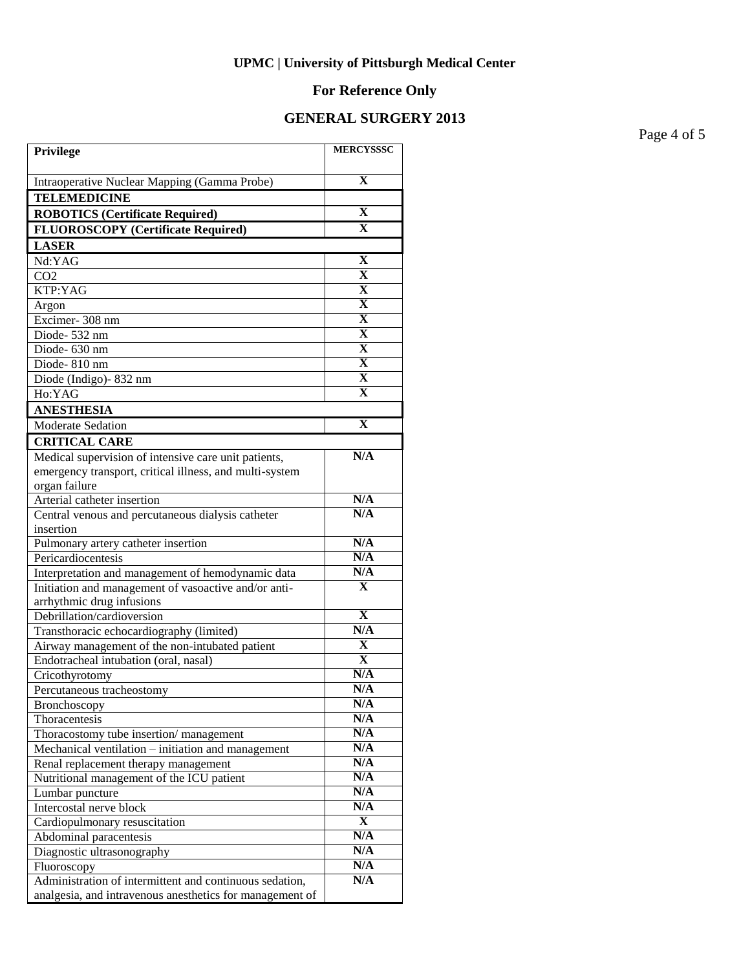# **For Reference Only**

# **GENERAL SURGERY 2013**

Page 4 of 5

| Privilege                                                | <b>MERCYSSSC</b>        |
|----------------------------------------------------------|-------------------------|
| Intraoperative Nuclear Mapping (Gamma Probe)             | $\mathbf x$             |
| <b>TELEMEDICINE</b>                                      |                         |
| <b>ROBOTICS (Certificate Required)</b>                   | $\mathbf X$             |
| <b>FLUOROSCOPY</b> (Certificate Required)                | $\mathbf X$             |
| <b>LASER</b>                                             |                         |
| Nd:YAG                                                   | $\mathbf X$             |
| CO <sub>2</sub>                                          | $\mathbf X$             |
| KTP:YAG                                                  | $\mathbf X$             |
| Argon                                                    | $\mathbf X$             |
| Excimer-308 nm                                           | $\mathbf X$             |
| Diode-532 nm                                             | $\mathbf X$             |
| Diode- 630 nm                                            | $\mathbf X$             |
| Diode-810 nm                                             | $\mathbf X$             |
| Diode (Indigo)-832 nm                                    | $\mathbf X$             |
| Ho:YAG                                                   | $\mathbf X$             |
| <b>ANESTHESIA</b>                                        |                         |
| Moderate Sedation                                        | $\mathbf X$             |
| <b>CRITICAL CARE</b>                                     |                         |
| Medical supervision of intensive care unit patients,     | N/A                     |
| emergency transport, critical illness, and multi-system  |                         |
| organ failure                                            |                         |
| Arterial catheter insertion                              | N/A                     |
| Central venous and percutaneous dialysis catheter        | N/A                     |
| insertion                                                |                         |
| Pulmonary artery catheter insertion                      | N/A                     |
| Pericardiocentesis                                       | N/A                     |
| Interpretation and management of hemodynamic data        | N/A                     |
| Initiation and management of vasoactive and/or anti-     | $\mathbf{X}$            |
| arrhythmic drug infusions<br>Debrillation/cardioversion  | $\overline{\mathbf{X}}$ |
| Transthoracic echocardiography (limited)                 | N/A                     |
| Airway management of the non-intubated patient           | X                       |
| Endotracheal intubation (oral, nasal)                    | $\overline{\textbf{X}}$ |
| Cricothyrotomy                                           | N/A                     |
| Percutaneous tracheostomy                                | N/A                     |
| Bronchoscopy                                             | N/A                     |
| Thoracentesis                                            | N/A                     |
| Thoracostomy tube insertion/management                   | N/A                     |
| Mechanical ventilation - initiation and management       | N/A                     |
| Renal replacement therapy management                     | N/A                     |
| Nutritional management of the ICU patient                | N/A                     |
| Lumbar puncture                                          | N/A                     |
| Intercostal nerve block                                  | N/A                     |
| Cardiopulmonary resuscitation                            | X                       |
| Abdominal paracentesis                                   | N/A                     |
| Diagnostic ultrasonography                               | N/A                     |
| Fluoroscopy                                              | N/A                     |
| Administration of intermittent and continuous sedation,  | N/A                     |
| analgesia, and intravenous anesthetics for management of |                         |